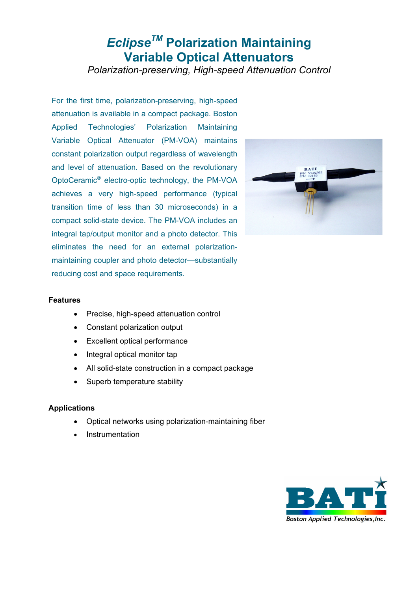# *EclipseTM* **Polarization Maintaining Variable Optical Attenuators**

*Polarization-preserving, High-speed Attenuation Control* 

For the first time, polarization-preserving, high-speed attenuation is available in a compact package. Boston Applied Technologies' Polarization Maintaining Variable Optical Attenuator (PM-VOA) maintains constant polarization output regardless of wavelength and level of attenuation. Based on the revolutionary OptoCeramic® electro-optic technology, the PM-VOA achieves a very high-speed performance (typical transition time of less than 30 microseconds) in a compact solid-state device. The PM-VOA includes an integral tap/output monitor and a photo detector. This eliminates the need for an external polarizationmaintaining coupler and photo detector—substantially reducing cost and space requirements.



# **Features**

- Precise, high-speed attenuation control
- Constant polarization output
- Excellent optical performance
- Integral optical monitor tap
- All solid-state construction in a compact package
- Superb temperature stability

## **Applications**

- Optical networks using polarization-maintaining fiber
- Instrumentation